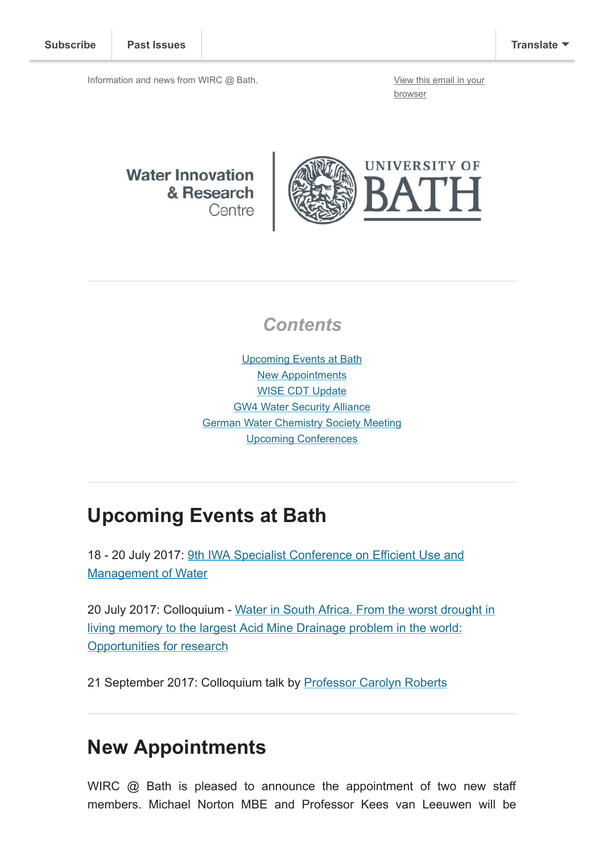Information and news from WIRC @ Bath. [View this email in your](http://mailchi.mp/3b27913e2030/wircjune2017?e=[UNIQID])

browser

**Water Innovation** & Research Centre



#### **Contents**

[Upcoming Events at Bath](#page-0-0) [New Appointments](#page-0-1) [WISE CDT Update](#page-1-0) [GW4 Water Security Alliance](#page-2-0) [German Water Chemistry Society Meeting](#page-3-0) [Upcoming Conferences](#page-3-1)

# <span id="page-0-0"></span>Upcoming Events at Bath

[18 - 20 July 2017: 9th IWA Specialist Conference on Efficient Use and](http://efficient2017.com/) Management of Water

[20 July 2017: Colloquium - Water in South Africa. From the worst drought in](http://www.bath.ac.uk/research/centres/wirc/events/water-in-south-africa.html) living memory to the largest Acid Mine Drainage problem in the world: Opportunities for research

21 September 2017: Colloquium talk by [Professor Carolyn Roberts](https://www.gresham.ac.uk/professors-and-speakers/professor-carolyn-roberts/)

## <span id="page-0-1"></span>New Appointments

WIRC @ Bath is pleased to announce the appointment of two new staff members. Michael Norton MBE and Professor Kees van Leeuwen will be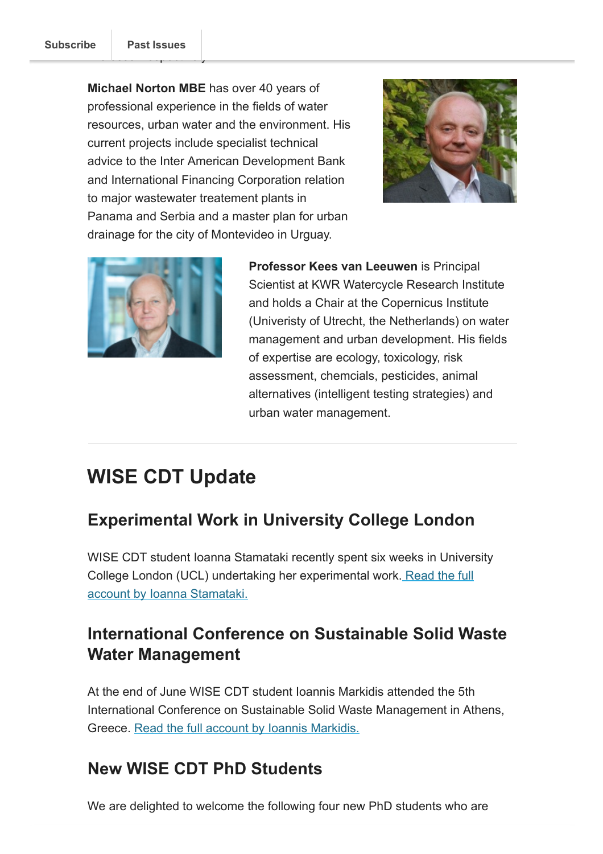Michael Norton MBE has over 40 years of professional experience in the fields of water resources, urban water and the environment. His current projects include specialist technical advice to the Inter American Development Bank and International Financing Corporation relation to major wastewater treatement plants in Panama and Serbia and a master plan for urban drainage for the city of Montevideo in Urguay.





Professor Kees van Leeuwen is Principal Scientist at KWR Watercycle Research Institute and holds a Chair at the Copernicus Institute (Univeristy of Utrecht, the Netherlands) on water management and urban development. His fields of expertise are ecology, toxicology, risk assessment, chemcials, pesticides, animal alternatives (intelligent testing strategies) and urban water management.

# <span id="page-1-0"></span>WISE CDT Update

## Experimental Work in University College London

WISE CDT student Ioanna Stamataki recently spent six weeks in University [College London \(UCL\) undertaking her experimental work. Read the full](http://blogs.bath.ac.uk/water/2017/06/28/experimental-work-ucl/) account by Ioanna Stamataki.

#### International Conference on Sustainable Solid Waste Water Management

At the end of June WISE CDT student Ioannis Markidis attended the 5th International Conference on Sustainable Solid Waste Management in Athens, Greece. [Read the full account by Ioannis Markidis.](http://blogs.bath.ac.uk/water/2017/06/29/solid-waste-management/)

#### New WISE CDT PhD Students

We are delighted to welcome the following four new PhD students who are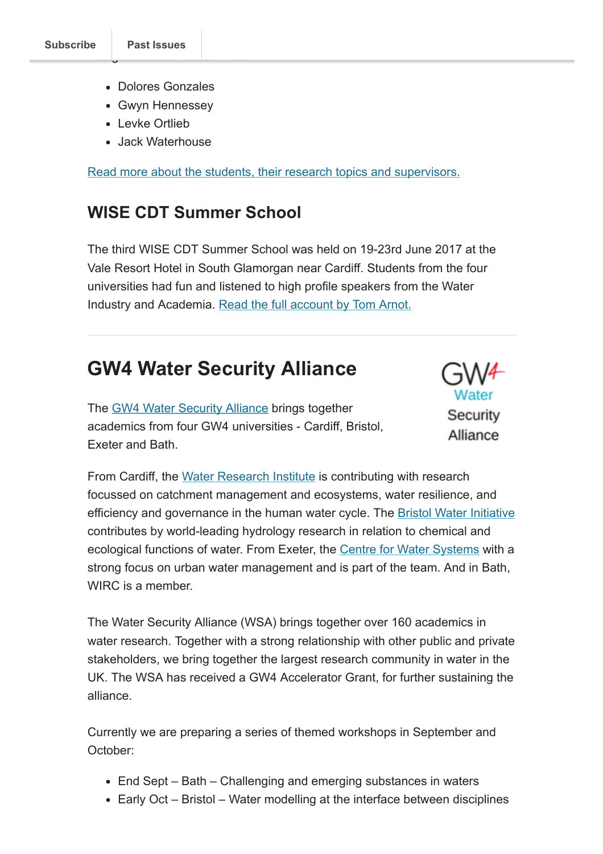- Dolores Gonzales
- Gwyn Hennessey
- Levke Ortlieb
- Jack Waterhouse

[Read more about the students, their research topics and supervisors.](http://blogs.bath.ac.uk/water/2017/06/30/new-wise-cdt-phd-students/)

#### WISE CDT Summer School

The third WISE CDT Summer School was held on 19-23rd June 2017 at the Vale Resort Hotel in South Glamorgan near Cardiff. Students from the four universities had fun and listened to high profile speakers from the Water Industry and Academia. [Read the full account by Tom Arnot.](http://blogs.bath.ac.uk/water/2017/07/04/wise-summer-school-2017/)

# <span id="page-2-0"></span>GW4 Water Security Alliance

The [GW4 Water Security Alliance](http://www.gw4water.com/) brings together academics from four GW4 universities - Cardiff, Bristol, Exeter and Bath.



From Cardiff, the [Water Research Institute](http://www.cardiff.ac.uk/water-research-institute) is contributing with research focussed on catchment management and ecosystems, water resilience, and efficiency and governance in the human water cycle. The [Bristol Water Initiative](http://www.bristol.ac.uk/water/) contributes by world-leading hydrology research in relation to chemical and ecological functions of water. From Exeter, the [Centre for Water Systems](http://emps.exeter.ac.uk/engineering/research/cws/) with a strong focus on urban water management and is part of the team. And in Bath, WIRC is a member.

The Water Security Alliance (WSA) brings together over 160 academics in water research. Together with a strong relationship with other public and private stakeholders, we bring together the largest research community in water in the UK. The WSA has received a GW4 Accelerator Grant, for further sustaining the alliance.

Currently we are preparing a series of themed workshops in September and October:

- End Sept Bath Challenging and emerging substances in waters
- Early Oct Bristol Water modelling at the interface between disciplines